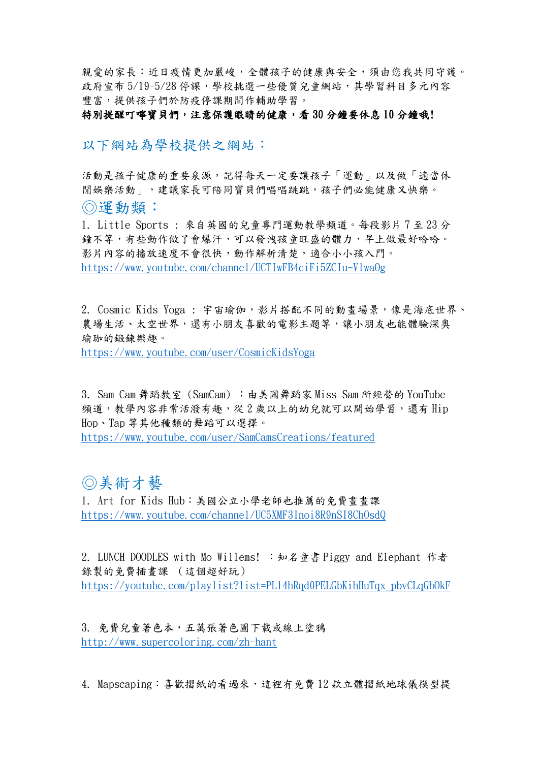親愛的家長:近日疫情更加嚴峻,全體孩子的健康與安全,須由您我共同守護。 政府宣布 5/19-5/28 停課,學校挑選一些優質兒童網站,其學習科目多元內容 豐富,提供孩子們於防疫停課期間作輔助學習。

## 特別提醒叮嚀寶貝們,注意保護眼睛的健康,看30分鐘要休息10分鐘哦!

以下網站為學校提供之網站:

活動是孩子健康的重要泉源,記得每天一定要讓孩子「運動」以及做「適當休 閒娛樂活動」,建議家長可陪同寶貝們唱唱跳跳,孩子們必能健康又快樂。 ◎運動類:

1. Little Sports : 來自英國的兒童專門運動教學頻道。每段影片 7 至 23 分 鐘不等,有些動作做了會爆汗,可以發洩孩童旺盛的體力,早上做最好哈哈。 影片內容的播放速度不會很快,動作解析清楚,適合小小孩入門。 <https://www.youtube.com/channel/UCTIwFB4ciFi5ZCIu-VlwaOg>

2. Cosmic Kids Yoga : 宇宙瑜伽,影片搭配不同的動畫場景,像是海底世界、 農場生活、太空世界,還有小朋友喜歡的電影主題等,讓小朋友也能體驗深奧 瑜珈的鍛鍊樂趣。

<https://www.youtube.com/user/CosmicKidsYoga>

3. Sam Cam 舞蹈教室 (SamCam) : 由美國舞蹈家 Miss Sam 所經營的 YouTube 頻道,教學內容非常活潑有趣,從 2 歲以上的幼兒就可以開始學習,還有 Hip Hop、Tap 等其他種類的舞蹈可以選擇。

<https://www.youtube.com/user/SamCamsCreations/featured>

## ◎美術才藝

1. Art for Kids Hub:美國公立小學老師也推薦的免費畫畫課 <https://www.youtube.com/channel/UC5XMF3Inoi8R9nSI8ChOsdQ>

2. LUNCH DOODLES with Mo Willems! :知名童書 Piggy and Elephant 作者 錄製的免費插畫課 (這個超好玩) [https://youtube.com/playlist?list=PL14hRqd0PELGbKihHuTqx\\_pbvCLqGbOkF](https://youtube.com/playlist?list=PL14hRqd0PELGbKihHuTqx_pbvCLqGbOkF)

3. 免費兒童著色本,五萬張著色圖下載或線上塗鴉 <http://www.supercoloring.com/zh-hant>

4. Mapscaping: 喜歡摺紙的看過來,這裡有免費12款立體摺紙地球儀模型提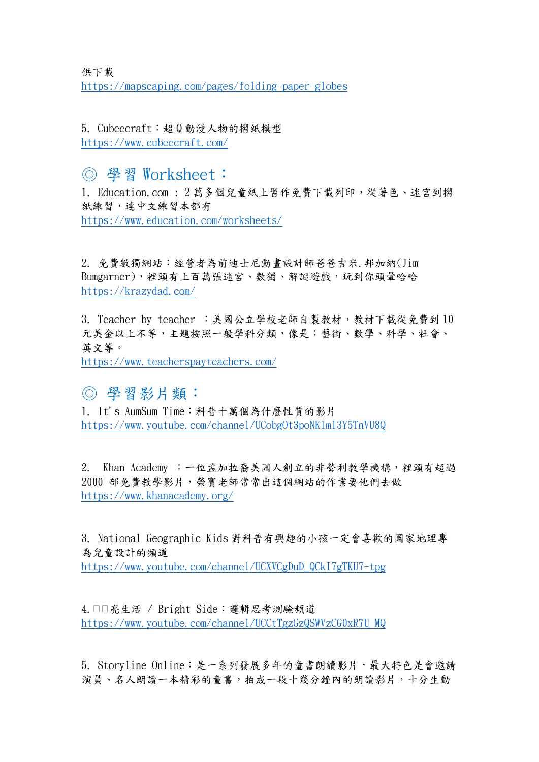供下載 <https://mapscaping.com/pages/folding-paper-globes>

5. Cubeecraft:超 Q 動漫人物的摺紙模型 <https://www.cubeecraft.com/>

## ◎ 學習 Worksheet:

1. Education.com : 2 萬多個兒童紙上習作免費下載列印,從著色、迷宮到摺 紙練習,連中文練習本都有 <https://www.education.com/worksheets/>

2. 免費數獨網站:經營者為前迪士尼動畫設計師爸爸吉米.邦加納(Jim Bumgarner),裡頭有上百萬張迷宮、數獨、解謎遊戲,玩到你頭暈哈哈 <https://krazydad.com/>

3. Teacher by teacher : 美國公立學校老師自製教材,教材下載從免費到10 元美金以上不等,主題按照一般學科分類,像是:藝術、數學、科學、社會、 英文等。 <https://www.teacherspayteachers.com/>

◎ 學習影片類:

1. It's AumSum Time:科普十萬個為什麼性質的影片 <https://www.youtube.com/channel/UCobgOt3poNKlml3Y5TnVU8Q>

2. Khan Academy :一位孟加拉裔美國人創立的非營利教學機構,裡頭有超過 2000 部免費教學影片,榮寶老師常常出這個網站的作業要他們去做 <https://www.khanacademy.org/>

3. National Geographic Kids 對科普有興趣的小孩一定會喜歡的國家地理專 為兒童設計的頻道 [https://www.youtube.com/channel/UCXVCgDuD\\_QCkI7gTKU7-tpg](https://www.youtube.com/channel/UCXVCgDuD_QCkI7gTKU7-tpg)

4. □□亮生活 / Bright Side: 邏輯思考測驗頻道 <https://www.youtube.com/channel/UCCtTgzGzQSWVzCG0xR7U-MQ>

5. Storyline Online:是一系列發展多年的童書朗讀影片,最大特色是會邀請 演員、名人朗讀一本精彩的童書,拍成一段十幾分鐘內的朗讀影片,十分生動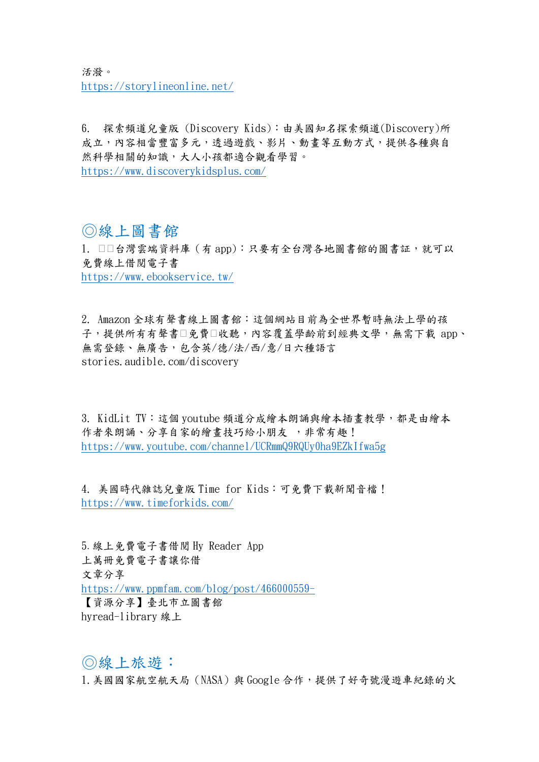活潑。 <https://storylineonline.net/>

6. 探索頻道兒童版 (Discovery Kids):由美國知名探索頻道(Discovery)所 成立,內容相當豐富多元,透過遊戲、影片、動畫等互動方式,提供各種與自 然科學相關的知識,大人小孩都適合觀看學習。 <https://www.discoverykidsplus.com/>

## ◎線上圖書館

1. □□台灣雲端資料庫 (有 app):只要有全台灣各地圖書館的圖書証,就可以 免費線上借閱電子書

<https://www.ebookservice.tw/>

2. Amazon 全球有聲書線上圖書館:這個網站目前為全世界暫時無法上學的孩 子,提供所有有聲書□免費□收聽,內容覆蓋學齡前到經典文學,無需下載 app、 無需登錄、無廣告,包含英/德/法/西/意/日六種語言 stories.audible.com/discovery

3. KidLit TV:這個 youtube 頻道分成繪本朗誦與繪本插畫教學,都是由繪本 作者來朗誦、分享自家的繪書技巧給小朋友 , 非常有趣! <https://www.youtube.com/channel/UCRmmQ9RQUy0ha9EZkIfwa5g>

4. 美國時代雜誌兒童版 Time for Kids:可免費下載新聞音檔! <https://www.timeforkids.com/>

5.線上免費電子書借閱 Hy Reader App 上萬冊免費電子書讓你借 文章分享 <https://www.ppmfam.com/blog/post/466000559-> 【資源分享】臺北市立圖書館 hyread-library 線上

◎線上旅遊: 1. 美國國家航空航天局 (NASA) 與 Google 合作,提供了好奇號漫遊車紀錄的火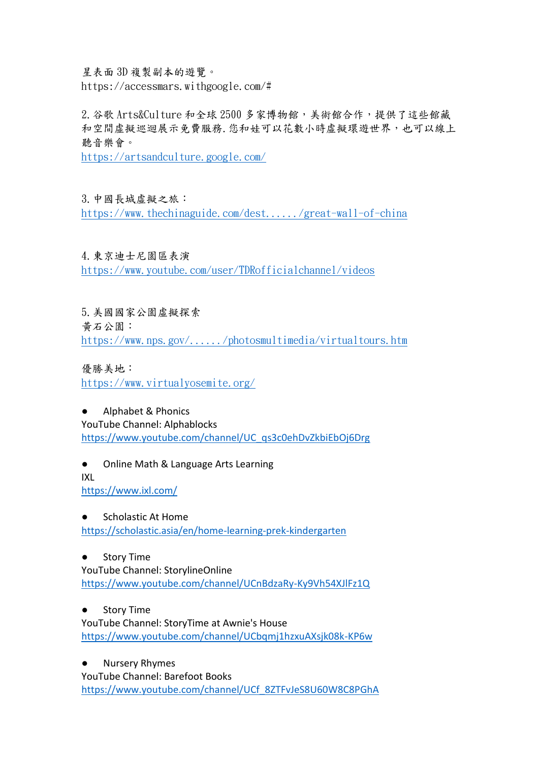星表面 3D 複製副本的遊覽。 https://accessmars.withgoogle.com/#

2.谷歌 Arts&Culture 和全球 2500 多家博物館,美術館合作,提供了這些館藏 和空間虛擬巡迴展示免費服務.您和娃可以花數小時虛擬環遊世界,也可以線上 聽音樂會。

<https://artsandculture.google.com/>

3.中國長城虛擬之旅:

<https://www.thechinaguide.com/dest....../great-wall-of-china>

4.東京迪士尼園區表演 <https://www.youtube.com/user/TDRofficialchannel/videos>

5.美國國家公園虛擬探索 黃石公園: <https://www.nps.gov/....../photosmultimedia/virtualtours.htm>

優勝美地: <https://www.virtualyosemite.org/>

● Alphabet & Phonics YouTube Channel: Alphablocks

[https://www.youtube.com/channel/UC\\_qs3c0ehDvZkbiEbOj6Drg](https://www.youtube.com/channel/UC_qs3c0ehDvZkbiEbOj6Drg)

● Online Math & Language Arts Learning IXL <https://www.ixl.com/>

● Scholastic At Home <https://scholastic.asia/en/home-learning-prek-kindergarten>

● Story Time YouTube Channel: StorylineOnline <https://www.youtube.com/channel/UCnBdzaRy-Ky9Vh54XJlFz1Q>

● Story Time

YouTube Channel: StoryTime at Awnie's House <https://www.youtube.com/channel/UCbqmj1hzxuAXsjk08k-KP6w>

● Nursery Rhymes YouTube Channel: Barefoot Books [https://www.youtube.com/channel/UCf\\_8ZTFvJeS8U60W8C8PGhA](https://www.youtube.com/channel/UCf_8ZTFvJeS8U60W8C8PGhA)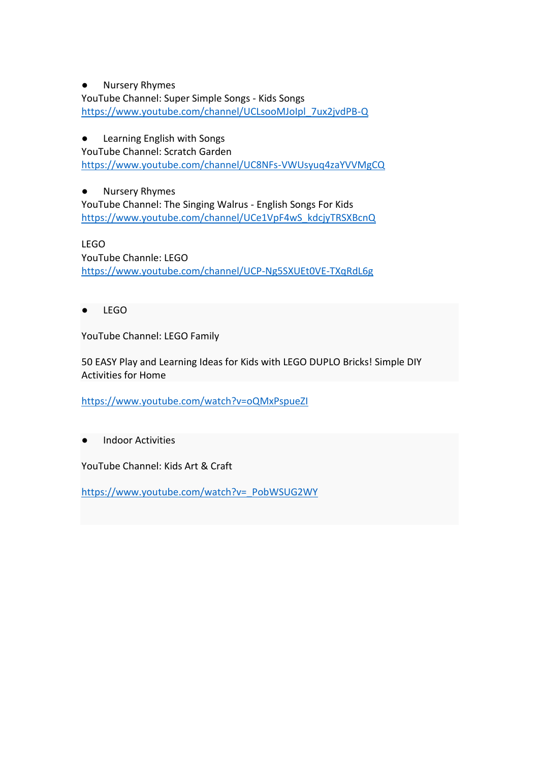● Nursery Rhymes

YouTube Channel: Super Simple Songs - Kids Songs [https://www.youtube.com/channel/UCLsooMJoIpl\\_7ux2jvdPB-Q](https://www.youtube.com/channel/UCLsooMJoIpl_7ux2jvdPB-Q)

● Learning English with Songs

YouTube Channel: Scratch Garden <https://www.youtube.com/channel/UC8NFs-VWUsyuq4zaYVVMgCQ>

● Nursery Rhymes YouTube Channel: The Singing Walrus - English Songs For Kids [https://www.youtube.com/channel/UCe1VpF4wS\\_kdcjyTRSXBcnQ](https://www.youtube.com/channel/UCe1VpF4wS_kdcjyTRSXBcnQ)

LEGO YouTube Channle: LEGO <https://www.youtube.com/channel/UCP-Ng5SXUEt0VE-TXqRdL6g>

● LEGO

YouTube Channel: LEGO Family

50 EASY Play and Learning Ideas for Kids with LEGO DUPLO Bricks! Simple DIY Activities for Home

<https://www.youtube.com/watch?v=oQMxPspueZI>

**Indoor Activities** 

YouTube Channel: Kids Art & Craft

[https://www.youtube.com/watch?v=\\_PobWSUG2WY](https://www.youtube.com/watch?v=_PobWSUG2WY)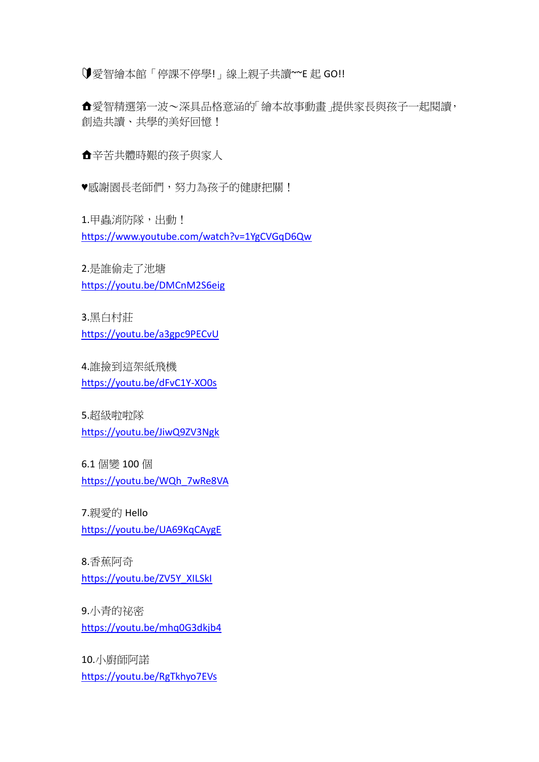愛智繪本館「停課不停學!」線上親子共讀~~E 起 GO!!

愛智精選第一波~深具品格意涵的「繪本故事動畫」提供家長與孩子一起閱讀, 創造共讀、共學的美好回憶!

辛苦共體時艱的孩子與家人

♥感謝園長老師們,努力為孩子的健康把關!

1.甲蟲消防隊,出動! <https://www.youtube.com/watch?v=1YgCVGqD6Qw>

2.是誰偷走了池塘 <https://youtu.be/DMCnM2S6eig>

3.黑白村莊 <https://youtu.be/a3gpc9PECvU>

4.誰撿到這架紙飛機 <https://youtu.be/dFvC1Y-XO0s>

5.超級啦啦隊 <https://youtu.be/JiwQ9ZV3Ngk>

6.1 個變 100 個 [https://youtu.be/WQh\\_7wRe8VA](https://youtu.be/WQh_7wRe8VA)

7.親愛的 Hello <https://youtu.be/UA69KqCAygE>

8.香蕉阿奇 [https://youtu.be/ZV5Y\\_XILSkI](https://youtu.be/ZV5Y_XILSkI)

9.小青的祕密 <https://youtu.be/mhq0G3dkjb4>

10.小廚師阿諾 <https://youtu.be/RgTkhyo7EVs>